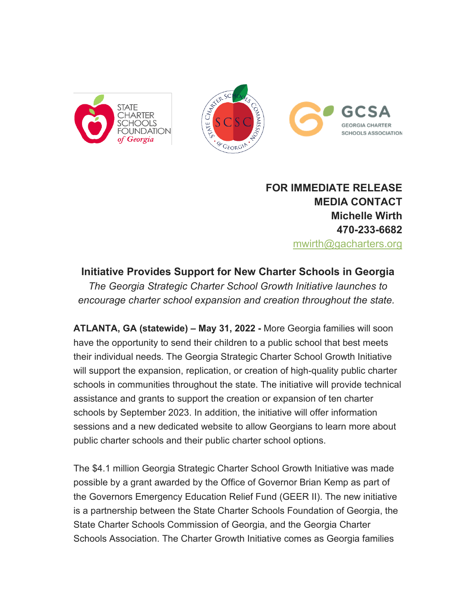



**FOR IMMEDIATE RELEASE MEDIA CONTACT Michelle Wirth 470-233-6682** [mwirth@gacharters.org](mailto:mwirth@gacharters.org)

# **Initiative Provides Support for New Charter Schools in Georgia**

*The Georgia Strategic Charter School Growth Initiative launches to encourage charter school expansion and creation throughout the state.*

**ATLANTA, GA (statewide) – May 31, 2022 -** More Georgia families will soon have the opportunity to send their children to a public school that best meets their individual needs. The Georgia Strategic Charter School Growth Initiative will support the expansion, replication, or creation of high-quality public charter schools in communities throughout the state. The initiative will provide technical assistance and grants to support the creation or expansion of ten charter schools by September 2023. In addition, the initiative will offer information sessions and a new dedicated website to allow Georgians to learn more about public charter schools and their public charter school options.

The \$4.1 million Georgia Strategic Charter School Growth Initiative was made possible by a grant awarded by the Office of Governor Brian Kemp as part of the Governors Emergency Education Relief Fund (GEER II). The new initiative is a partnership between the State Charter Schools Foundation of Georgia, the State Charter Schools Commission of Georgia, and the Georgia Charter Schools Association. The Charter Growth Initiative comes as Georgia families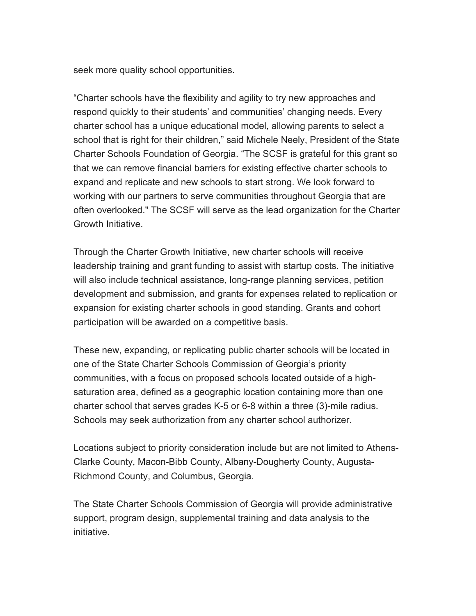seek more quality school opportunities.

"Charter schools have the flexibility and agility to try new approaches and respond quickly to their students' and communities' changing needs. Every charter school has a unique educational model, allowing parents to select a school that is right for their children," said Michele Neely, President of the State Charter Schools Foundation of Georgia. "The SCSF is grateful for this grant so that we can remove financial barriers for existing effective charter schools to expand and replicate and new schools to start strong. We look forward to working with our partners to serve communities throughout Georgia that are often overlooked." The SCSF will serve as the lead organization for the Charter Growth Initiative.

Through the Charter Growth Initiative, new charter schools will receive leadership training and grant funding to assist with startup costs. The initiative will also include technical assistance, long-range planning services, petition development and submission, and grants for expenses related to replication or expansion for existing charter schools in good standing. Grants and cohort participation will be awarded on a competitive basis.

These new, expanding, or replicating public charter schools will be located in one of the State Charter Schools Commission of Georgia's priority communities, with a focus on proposed schools located outside of a highsaturation area, defined as a geographic location containing more than one charter school that serves grades K-5 or 6-8 within a three (3)-mile radius. Schools may seek authorization from any charter school authorizer.

Locations subject to priority consideration include but are not limited to Athens-Clarke County, Macon-Bibb County, Albany-Dougherty County, Augusta-Richmond County, and Columbus, Georgia.

The State Charter Schools Commission of Georgia will provide administrative support, program design, supplemental training and data analysis to the initiative.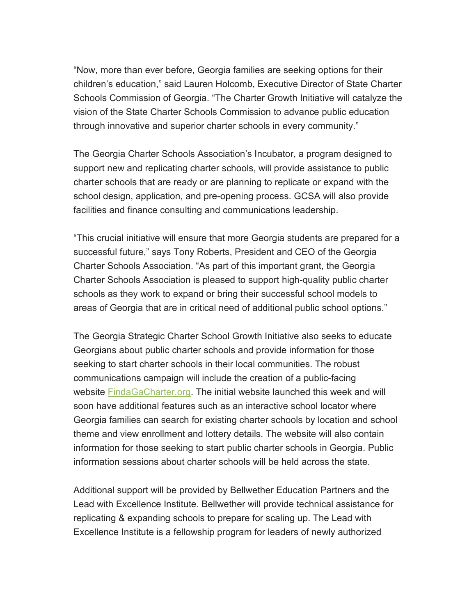"Now, more than ever before, Georgia families are seeking options for their children's education," said Lauren Holcomb, Executive Director of State Charter Schools Commission of Georgia. "The Charter Growth Initiative will catalyze the vision of the State Charter Schools Commission to advance public education through innovative and superior charter schools in every community."

The Georgia Charter Schools Association's Incubator, a program designed to support new and replicating charter schools, will provide assistance to public charter schools that are ready or are planning to replicate or expand with the school design, application, and pre-opening process. GCSA will also provide facilities and finance consulting and communications leadership.

"This crucial initiative will ensure that more Georgia students are prepared for a successful future," says Tony Roberts, President and CEO of the Georgia Charter Schools Association. "As part of this important grant, the Georgia Charter Schools Association is pleased to support high-quality public charter schools as they work to expand or bring their successful school models to areas of Georgia that are in critical need of additional public school options."

The Georgia Strategic Charter School Growth Initiative also seeks to educate Georgians about public charter schools and provide information for those seeking to start charter schools in their local communities. The robust communications campaign will include the creation of a public-facing website [FindaGaCharter.org.](https://gacharters.us1.list-manage.com/track/click?u=0bda5d5147ca0c51e1c30107f&id=a547e7ea3e&e=079609518a) The initial website launched this week and will soon have additional features such as an interactive school locator where Georgia families can search for existing charter schools by location and school theme and view enrollment and lottery details. The website will also contain information for those seeking to start public charter schools in Georgia. Public information sessions about charter schools will be held across the state.

Additional support will be provided by Bellwether Education Partners and the Lead with Excellence Institute. Bellwether will provide technical assistance for replicating & expanding schools to prepare for scaling up. The Lead with Excellence Institute is a fellowship program for leaders of newly authorized